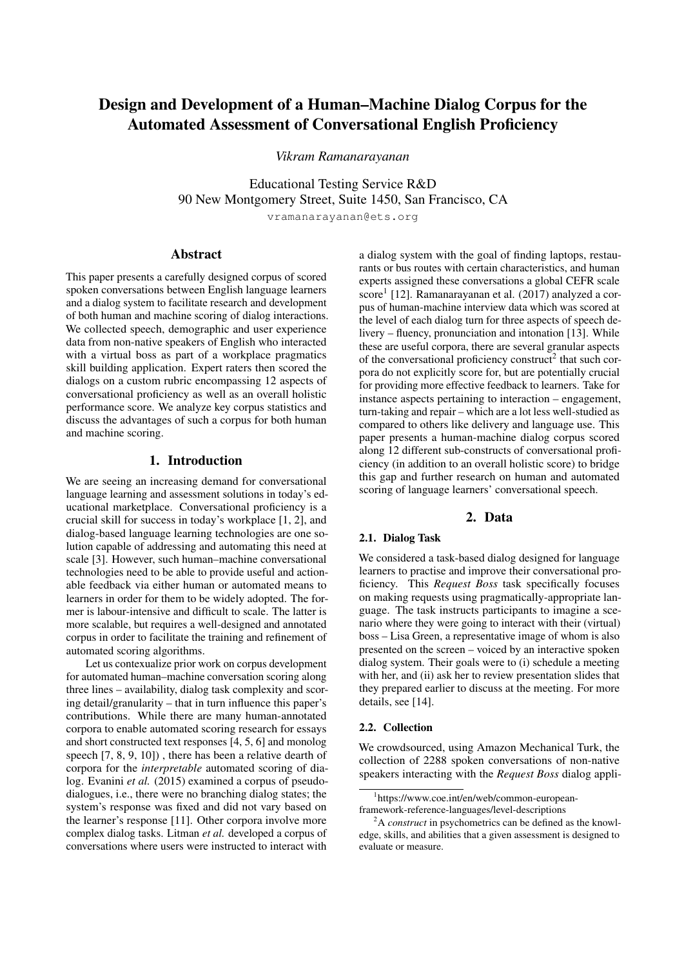# Design and Development of a Human–Machine Dialog Corpus for the Automated Assessment of Conversational English Proficiency

*Vikram Ramanarayanan*

Educational Testing Service R&D 90 New Montgomery Street, Suite 1450, San Francisco, CA

vramanarayanan@ets.org

## Abstract

This paper presents a carefully designed corpus of scored spoken conversations between English language learners and a dialog system to facilitate research and development of both human and machine scoring of dialog interactions. We collected speech, demographic and user experience data from non-native speakers of English who interacted with a virtual boss as part of a workplace pragmatics skill building application. Expert raters then scored the dialogs on a custom rubric encompassing 12 aspects of conversational proficiency as well as an overall holistic performance score. We analyze key corpus statistics and discuss the advantages of such a corpus for both human and machine scoring.

# 1. Introduction

We are seeing an increasing demand for conversational language learning and assessment solutions in today's educational marketplace. Conversational proficiency is a crucial skill for success in today's workplace [1, 2], and dialog-based language learning technologies are one solution capable of addressing and automating this need at scale [3]. However, such human–machine conversational technologies need to be able to provide useful and actionable feedback via either human or automated means to learners in order for them to be widely adopted. The former is labour-intensive and difficult to scale. The latter is more scalable, but requires a well-designed and annotated corpus in order to facilitate the training and refinement of automated scoring algorithms.

Let us contexualize prior work on corpus development for automated human–machine conversation scoring along three lines – availability, dialog task complexity and scoring detail/granularity – that in turn influence this paper's contributions. While there are many human-annotated corpora to enable automated scoring research for essays and short constructed text responses [4, 5, 6] and monolog speech [7, 8, 9, 10]) , there has been a relative dearth of corpora for the *interpretable* automated scoring of dialog. Evanini et al. (2015) examined a corpus of pseudodialogues, i.e., there were no branching dialog states; the system's response was fixed and did not vary based on the learner's response [11]. Other corpora involve more complex dialog tasks. Litman *et al.* developed a corpus of conversations where users were instructed to interact with

a dialog system with the goal of finding laptops, restaurants or bus routes with certain characteristics, and human experts assigned these conversations a global CEFR scale score<sup>1</sup> [12]. Ramanarayanan et al. (2017) analyzed a corpus of human-machine interview data which was scored at the level of each dialog turn for three aspects of speech delivery – fluency, pronunciation and intonation [13]. While these are useful corpora, there are several granular aspects of the conversational proficiency construct<sup>2</sup> that such corpora do not explicitly score for, but are potentially crucial for providing more effective feedback to learners. Take for instance aspects pertaining to interaction – engagement, turn-taking and repair – which are a lot less well-studied as compared to others like delivery and language use. This paper presents a human-machine dialog corpus scored along 12 different sub-constructs of conversational proficiency (in addition to an overall holistic score) to bridge this gap and further research on human and automated scoring of language learners' conversational speech.

# 2. Data

#### 2.1. Dialog Task

We considered a task-based dialog designed for language learners to practise and improve their conversational proficiency. This *Request Boss* task specifically focuses on making requests using pragmatically-appropriate language. The task instructs participants to imagine a scenario where they were going to interact with their (virtual) boss – Lisa Green, a representative image of whom is also presented on the screen – voiced by an interactive spoken dialog system. Their goals were to (i) schedule a meeting with her, and (ii) ask her to review presentation slides that they prepared earlier to discuss at the meeting. For more details, see [14].

#### 2.2. Collection

We crowdsourced, using Amazon Mechanical Turk, the collection of 2288 spoken conversations of non-native speakers interacting with the *Request Boss* dialog appli-

<sup>1</sup> https://www.coe.int/en/web/common-european-

framework-reference-languages/level-descriptions

<sup>2</sup>A *construct* in psychometrics can be defined as the knowledge, skills, and abilities that a given assessment is designed to evaluate or measure.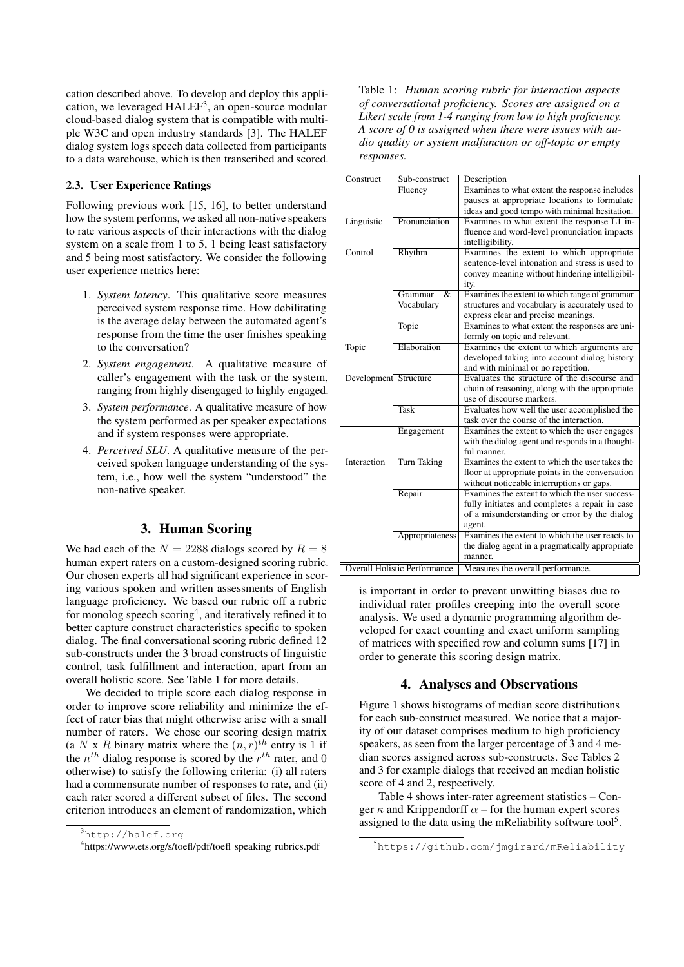cation described above. To develop and deploy this application, we leveraged HALEF<sup>3</sup>, an open-source modular cloud-based dialog system that is compatible with multiple W3C and open industry standards [3]. The HALEF dialog system logs speech data collected from participants to a data warehouse, which is then transcribed and scored.

## 2.3. User Experience Ratings

Following previous work [15, 16], to better understand how the system performs, we asked all non-native speakers to rate various aspects of their interactions with the dialog system on a scale from 1 to 5, 1 being least satisfactory and 5 being most satisfactory. We consider the following user experience metrics here:

- 1. *System latency*. This qualitative score measures perceived system response time. How debilitating is the average delay between the automated agent's response from the time the user finishes speaking to the conversation?
- 2. *System engagement*. A qualitative measure of caller's engagement with the task or the system, ranging from highly disengaged to highly engaged.
- 3. *System performance*. A qualitative measure of how the system performed as per speaker expectations and if system responses were appropriate.
- 4. *Perceived SLU*. A qualitative measure of the perceived spoken language understanding of the system, i.e., how well the system "understood" the non-native speaker.

# 3. Human Scoring

We had each of the  $N = 2288$  dialogs scored by  $R = 8$ human expert raters on a custom-designed scoring rubric. Our chosen experts all had significant experience in scoring various spoken and written assessments of English language proficiency. We based our rubric off a rubric for monolog speech scoring<sup>4</sup>, and iteratively refined it to better capture construct characteristics specific to spoken dialog. The final conversational scoring rubric defined 12 sub-constructs under the 3 broad constructs of linguistic control, task fulfillment and interaction, apart from an overall holistic score. See Table 1 for more details.

We decided to triple score each dialog response in order to improve score reliability and minimize the effect of rater bias that might otherwise arise with a small number of raters. We chose our scoring design matrix (a N x R binary matrix where the  $(n, r)$ <sup>th</sup> entry is 1 if the  $n^{th}$  dialog response is scored by the  $r^{th}$  rater, and 0 otherwise) to satisfy the following criteria: (i) all raters had a commensurate number of responses to rate, and (ii) each rater scored a different subset of files. The second criterion introduces an element of randomization, which

Table 1: *Human scoring rubric for interaction aspects of conversational proficiency. Scores are assigned on a Likert scale from 1-4 ranging from low to high proficiency. A score of 0 is assigned when there were issues with audio quality or system malfunction or off-topic or empty responses.*

| Construct                           | Sub-construct                       | Description                                      |  |
|-------------------------------------|-------------------------------------|--------------------------------------------------|--|
|                                     | Fluency                             | Examines to what extent the response includes    |  |
|                                     |                                     | pauses at appropriate locations to formulate     |  |
|                                     |                                     | ideas and good tempo with minimal hesitation.    |  |
| Linguistic                          | Pronunciation                       | Examines to what extent the response L1 in-      |  |
|                                     |                                     | fluence and word-level pronunciation impacts     |  |
|                                     |                                     | intelligibility.                                 |  |
| Control                             | Rhythm                              | Examines the extent to which appropriate         |  |
|                                     |                                     | sentence-level intonation and stress is used to  |  |
|                                     |                                     | convey meaning without hindering intelligibil-   |  |
|                                     |                                     | ity.                                             |  |
|                                     | Grammar<br>$\overline{\mathcal{X}}$ | Examines the extent to which range of grammar    |  |
|                                     | Vocabulary                          | structures and vocabulary is accurately used to  |  |
|                                     |                                     | express clear and precise meanings.              |  |
|                                     | Topic                               | Examines to what extent the responses are uni-   |  |
|                                     |                                     | formly on topic and relevant.                    |  |
| Topic                               | Elaboration                         | Examines the extent to which arguments are       |  |
|                                     |                                     | developed taking into account dialog history     |  |
|                                     |                                     | and with minimal or no repetition.               |  |
| Development Structure               |                                     | Evaluates the structure of the discourse and     |  |
|                                     |                                     | chain of reasoning, along with the appropriate   |  |
|                                     |                                     | use of discourse markers.                        |  |
|                                     | <b>Task</b>                         | Evaluates how well the user accomplished the     |  |
|                                     |                                     | task over the course of the interaction.         |  |
|                                     | Engagement                          | Examines the extent to which the user engages    |  |
|                                     |                                     | with the dialog agent and responds in a thought- |  |
|                                     |                                     | ful manner.                                      |  |
| Interaction                         | <b>Turn Taking</b>                  | Examines the extent to which the user takes the  |  |
|                                     |                                     | floor at appropriate points in the conversation  |  |
|                                     |                                     | without noticeable interruptions or gaps.        |  |
|                                     | Repair                              | Examines the extent to which the user success-   |  |
|                                     |                                     | fully initiates and completes a repair in case   |  |
|                                     |                                     | of a misunderstanding or error by the dialog     |  |
|                                     |                                     | agent.                                           |  |
|                                     | Appropriateness                     | Examines the extent to which the user reacts to  |  |
|                                     |                                     | the dialog agent in a pragmatically appropriate  |  |
|                                     |                                     | manner.                                          |  |
| <b>Overall Holistic Performance</b> |                                     | Measures the overall performance.                |  |
|                                     |                                     |                                                  |  |

is important in order to prevent unwitting biases due to individual rater profiles creeping into the overall score analysis. We used a dynamic programming algorithm developed for exact counting and exact uniform sampling of matrices with specified row and column sums [17] in order to generate this scoring design matrix.

### 4. Analyses and Observations

Figure 1 shows histograms of median score distributions for each sub-construct measured. We notice that a majority of our dataset comprises medium to high proficiency speakers, as seen from the larger percentage of 3 and 4 median scores assigned across sub-constructs. See Tables 2 and 3 for example dialogs that received an median holistic score of 4 and 2, respectively.

Table 4 shows inter-rater agreement statistics – Conger  $\kappa$  and Krippendorff  $\alpha$  – for the human expert scores assigned to the data using the mReliability software tool<sup>5</sup>.

<sup>3</sup>http://halef.org

<sup>4</sup> https://www.ets.org/s/toefl/pdf/toefl speaking rubrics.pdf

<sup>5</sup>https://github.com/jmgirard/mReliability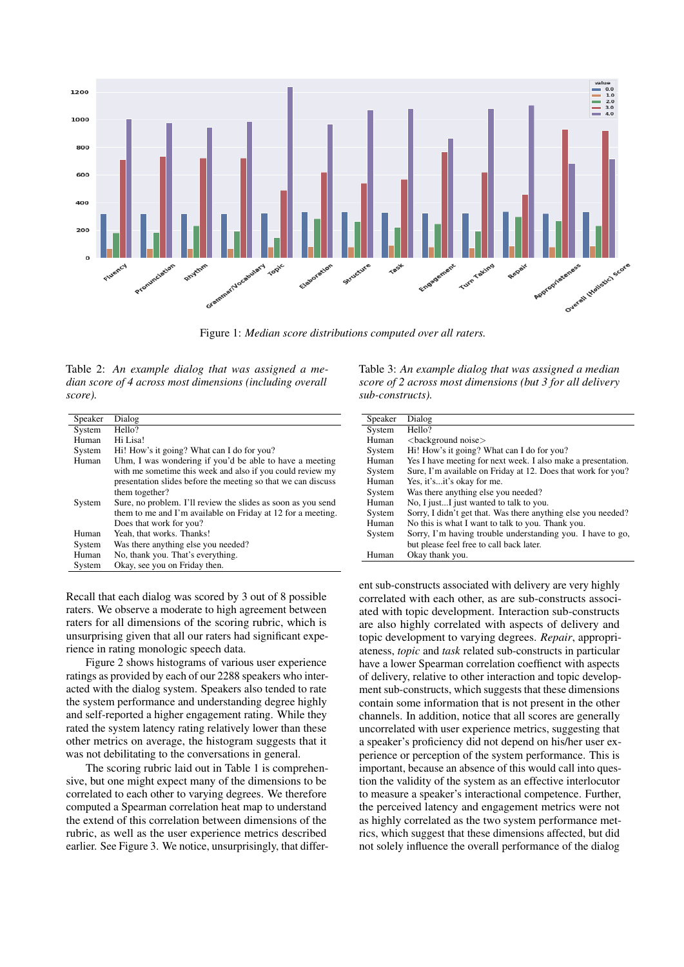

Figure 1: *Median score distributions computed over all raters.*

Table 2: *An example dialog that was assigned a median score of 4 across most dimensions (including overall score).*

| Speaker | Dialog                                                        |  |  |
|---------|---------------------------------------------------------------|--|--|
| System  | Hello?                                                        |  |  |
| Human   | Hi Lisa!                                                      |  |  |
| System  | Hi! How's it going? What can I do for you?                    |  |  |
| Human   | Uhm, I was wondering if you'd be able to have a meeting       |  |  |
|         | with me sometime this week and also if you could review my    |  |  |
|         | presentation slides before the meeting so that we can discuss |  |  |
|         | them together?                                                |  |  |
| System  | Sure, no problem. I'll review the slides as soon as you send  |  |  |
|         | them to me and I'm available on Friday at 12 for a meeting.   |  |  |
|         | Does that work for you?                                       |  |  |
| Human   | Yeah, that works. Thanks!                                     |  |  |
| System  | Was there anything else you needed?                           |  |  |
| Human   | No, thank you. That's everything.                             |  |  |
| System  | Okay, see you on Friday then.                                 |  |  |

Recall that each dialog was scored by 3 out of 8 possible raters. We observe a moderate to high agreement between raters for all dimensions of the scoring rubric, which is unsurprising given that all our raters had significant experience in rating monologic speech data.

Figure 2 shows histograms of various user experience ratings as provided by each of our 2288 speakers who interacted with the dialog system. Speakers also tended to rate the system performance and understanding degree highly and self-reported a higher engagement rating. While they rated the system latency rating relatively lower than these other metrics on average, the histogram suggests that it was not debilitating to the conversations in general.

The scoring rubric laid out in Table 1 is comprehensive, but one might expect many of the dimensions to be correlated to each other to varying degrees. We therefore computed a Spearman correlation heat map to understand the extend of this correlation between dimensions of the rubric, as well as the user experience metrics described earlier. See Figure 3. We notice, unsurprisingly, that differTable 3: *An example dialog that was assigned a median score of 2 across most dimensions (but 3 for all delivery sub-constructs).*

| Speaker | Dialog                                                        |  |  |
|---------|---------------------------------------------------------------|--|--|
| System  | Hello?                                                        |  |  |
| Human   | $<$ background noise $>$                                      |  |  |
| System  | Hi! How's it going? What can I do for you?                    |  |  |
| Human   | Yes I have meeting for next week. I also make a presentation. |  |  |
| System  | Sure, I'm available on Friday at 12. Does that work for you?  |  |  |
| Human   | Yes, it'sit's okay for me.                                    |  |  |
| System  | Was there anything else you needed?                           |  |  |
| Human   | No, I justI just wanted to talk to you.                       |  |  |
| System  | Sorry, I didn't get that. Was there anything else you needed? |  |  |
| Human   | No this is what I want to talk to you. Thank you.             |  |  |
| System  | Sorry, I'm having trouble understanding you. I have to go,    |  |  |
|         | but please feel free to call back later.                      |  |  |
| Human   | Okay thank you.                                               |  |  |

ent sub-constructs associated with delivery are very highly correlated with each other, as are sub-constructs associated with topic development. Interaction sub-constructs are also highly correlated with aspects of delivery and topic development to varying degrees. *Repair*, appropriateness, *topic* and *task* related sub-constructs in particular have a lower Spearman correlation coeffienct with aspects of delivery, relative to other interaction and topic development sub-constructs, which suggests that these dimensions contain some information that is not present in the other channels. In addition, notice that all scores are generally uncorrelated with user experience metrics, suggesting that a speaker's proficiency did not depend on his/her user experience or perception of the system performance. This is important, because an absence of this would call into question the validity of the system as an effective interlocutor to measure a speaker's interactional competence. Further, the perceived latency and engagement metrics were not as highly correlated as the two system performance metrics, which suggest that these dimensions affected, but did not solely influence the overall performance of the dialog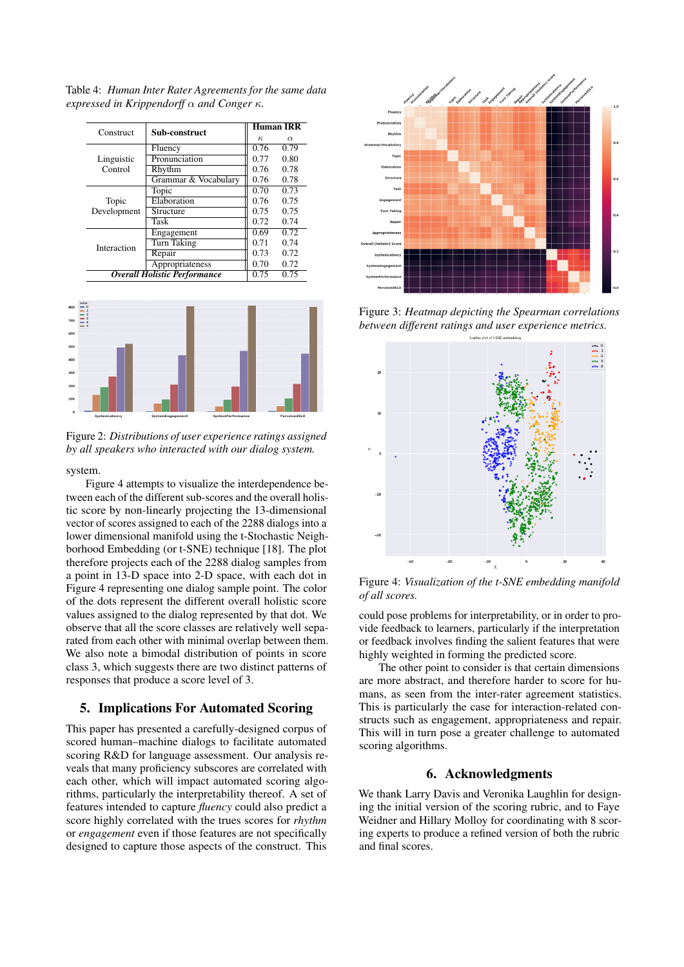| Construct                           | Sub-construct        | <b>Human IRR</b> |          |
|-------------------------------------|----------------------|------------------|----------|
|                                     |                      | $\kappa$         | $\alpha$ |
|                                     | Fluency              | 0.76             | 0.79     |
| Linguistic                          | Pronunciation        | 0.77             | 0.80     |
| Control                             | Rhythm               | 0.76             | 0.78     |
|                                     | Grammar & Vocabulary | 0.76             | 0.78     |
|                                     | Topic                | 0.70             | 0.73     |
| Topic                               | Elaboration          | 0.76             | 0.75     |
| Development                         | Structure            | 0.75             | 0.75     |
|                                     | <b>Task</b>          | 0.72             | 0.74     |
| Interaction                         | Engagement           | 0.69             | 0.72     |
|                                     | Turn Taking          | 0.71             | 0.74     |
|                                     | Repair               | 0.73             | 0.72     |
|                                     | Appropriateness      | 0.70             | 0.72     |
| <b>Overall Holistic Performance</b> | 0.75                 | 0.75             |          |

Table 4: *Human Inter Rater Agreements for the same data expressed in Krippendorff* α *and Conger* κ*.*



Figure 2: *Distributions of user experience ratings assigned by all speakers who interacted with our dialog system.*

#### system.

Figure 4 attempts to visualize the interdependence between each of the different sub-scores and the overall holistic score by non-linearly projecting the 13-dimensional vector of scores assigned to each of the 2288 dialogs into a lower dimensional manifold using the t-Stochastic Neighborhood Embedding (or t-SNE) technique [18]. The plot therefore projects each of the 2288 dialog samples from a point in 13-D space into 2-D space, with each dot in Figure 4 representing one dialog sample point. The color of the dots represent the different overall holistic score values assigned to the dialog represented by that dot. We observe that all the score classes are relatively well separated from each other with minimal overlap between them. We also note a bimodal distribution of points in score class 3, which suggests there are two distinct patterns of responses that produce a score level of 3.

# 5. Implications For Automated Scoring

This paper has presented a carefully-designed corpus of scored human–machine dialogs to facilitate automated scoring R&D for language assessment. Our analysis reveals that many proficiency subscores are correlated with each other, which will impact automated scoring algorithms, particularly the interpretability thereof. A set of features intended to capture *fluency* could also predict a score highly correlated with the trues scores for *rhythm* or *engagement* even if those features are not specifically designed to capture those aspects of the construct. This



Figure 3: *Heatmap depicting the Spearman correlations between different ratings and user experience metrics.*



Figure 4: *Visualization of the t-SNE embedding manifold of all scores.*

could pose problems for interpretability, or in order to provide feedback to learners, particularly if the interpretation or feedback involves finding the salient features that were highly weighted in forming the predicted score.

The other point to consider is that certain dimensions are more abstract, and therefore harder to score for humans, as seen from the inter-rater agreement statistics. This is particularly the case for interaction-related constructs such as engagement, appropriateness and repair. This will in turn pose a greater challenge to automated scoring algorithms.

## 6. Acknowledgments

We thank Larry Davis and Veronika Laughlin for designing the initial version of the scoring rubric, and to Faye Weidner and Hillary Molloy for coordinating with 8 scoring experts to produce a refined version of both the rubric and final scores.